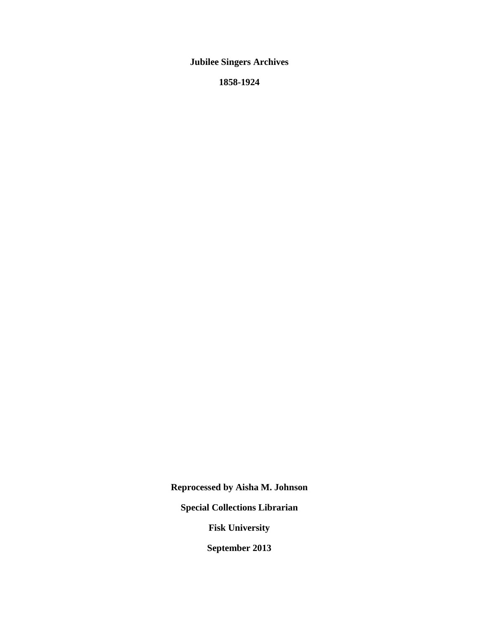**Jubilee Singers Archives**

**1858-1924**

**Reprocessed by Aisha M. Johnson**

**Special Collections Librarian**

**Fisk University**

**September 2013**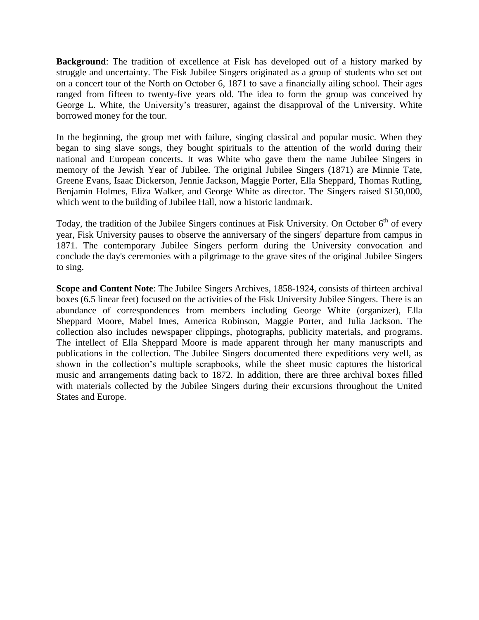**Background**: The tradition of excellence at Fisk has developed out of a history marked by struggle and uncertainty. The Fisk Jubilee Singers originated as a group of students who set out on a concert tour of the North on October 6, 1871 to save a financially ailing school. Their ages ranged from fifteen to twenty-five years old. The idea to form the group was conceived by George L. White, the University's treasurer, against the disapproval of the University. White borrowed money for the tour.

In the beginning, the group met with failure, singing classical and popular music. When they began to sing slave songs, they bought spirituals to the attention of the world during their national and European concerts. It was White who gave them the name Jubilee Singers in memory of the Jewish Year of Jubilee. The original Jubilee Singers (1871) are Minnie Tate, Greene Evans, Isaac Dickerson, Jennie Jackson, Maggie Porter, Ella Sheppard, Thomas Rutling, Benjamin Holmes, Eliza Walker, and George White as director. The Singers raised \$150,000, which went to the building of Jubilee Hall, now a historic landmark.

Today, the tradition of the Jubilee Singers continues at Fisk University. On October  $6<sup>th</sup>$  of every year, Fisk University pauses to observe the anniversary of the singers' departure from campus in 1871. The contemporary Jubilee Singers perform during the University convocation and conclude the day's ceremonies with a pilgrimage to the grave sites of the original Jubilee Singers to sing.

**Scope and Content Note**: The Jubilee Singers Archives, 1858-1924, consists of thirteen archival boxes (6.5 linear feet) focused on the activities of the Fisk University Jubilee Singers. There is an abundance of correspondences from members including George White (organizer), Ella Sheppard Moore, Mabel Imes, America Robinson, Maggie Porter, and Julia Jackson. The collection also includes newspaper clippings, photographs, publicity materials, and programs. The intellect of Ella Sheppard Moore is made apparent through her many manuscripts and publications in the collection. The Jubilee Singers documented there expeditions very well, as shown in the collection's multiple scrapbooks, while the sheet music captures the historical music and arrangements dating back to 1872. In addition, there are three archival boxes filled with materials collected by the Jubilee Singers during their excursions throughout the United States and Europe.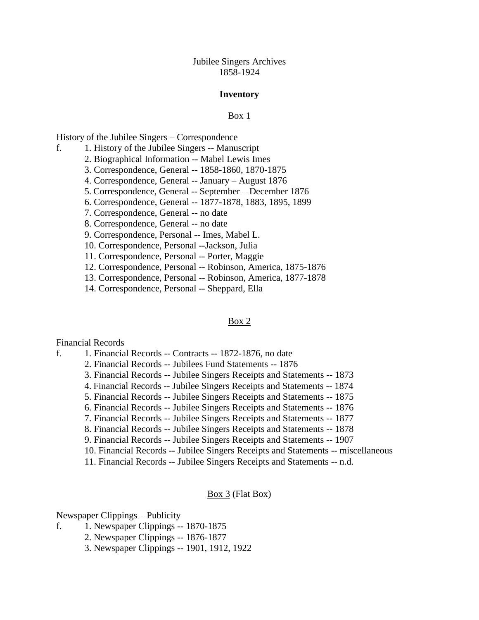Jubilee Singers Archives 1858-1924

#### **Inventory**

### Box 1

History of the Jubilee Singers – Correspondence

- f. 1. History of the Jubilee Singers -- Manuscript
	- 2. Biographical Information -- Mabel Lewis Imes
	- 3. Correspondence, General -- 1858-1860, 1870-1875
	- 4. Correspondence, General -- January August 1876
	- 5. Correspondence, General -- September December 1876
	- 6. Correspondence, General -- 1877-1878, 1883, 1895, 1899
	- 7. Correspondence, General -- no date
	- 8. Correspondence, General -- no date
	- 9. Correspondence, Personal -- Imes, Mabel L.
	- 10. Correspondence, Personal --Jackson, Julia
	- 11. Correspondence, Personal -- Porter, Maggie
	- 12. Correspondence, Personal -- Robinson, America, 1875-1876
	- 13. Correspondence, Personal -- Robinson, America, 1877-1878
	- 14. Correspondence, Personal -- Sheppard, Ella

#### Box 2

#### Financial Records

- f. 1. Financial Records -- Contracts -- 1872-1876, no date
	- 2. Financial Records -- Jubilees Fund Statements -- 1876
	- 3. Financial Records -- Jubilee Singers Receipts and Statements -- 1873
	- 4. Financial Records -- Jubilee Singers Receipts and Statements -- 1874
	- 5. Financial Records -- Jubilee Singers Receipts and Statements -- 1875
	- 6. Financial Records -- Jubilee Singers Receipts and Statements -- 1876
	- 7. Financial Records -- Jubilee Singers Receipts and Statements -- 1877
	- 8. Financial Records -- Jubilee Singers Receipts and Statements -- 1878
	- 9. Financial Records -- Jubilee Singers Receipts and Statements -- 1907
	- 10. Financial Records -- Jubilee Singers Receipts and Statements -- miscellaneous
	- 11. Financial Records -- Jubilee Singers Receipts and Statements -- n.d.

### $\underline{\text{Box } 3}$  (Flat Box)

Newspaper Clippings – Publicity

- f. 1. Newspaper Clippings -- 1870-1875
	- 2. Newspaper Clippings -- 1876-1877
	- 3. Newspaper Clippings -- 1901, 1912, 1922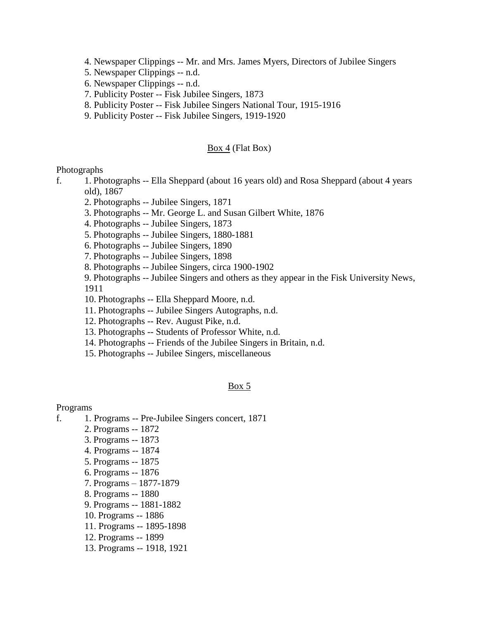- 4. Newspaper Clippings -- Mr. and Mrs. James Myers, Directors of Jubilee Singers
- 5. Newspaper Clippings -- n.d.
- 6. Newspaper Clippings -- n.d.
- 7. Publicity Poster -- Fisk Jubilee Singers, 1873
- 8. Publicity Poster -- Fisk Jubilee Singers National Tour, 1915-1916
- 9. Publicity Poster -- Fisk Jubilee Singers, 1919-1920

### $Box 4$  (Flat Box)</u>

### Photographs

- f. 1. Photographs -- Ella Sheppard (about 16 years old) and Rosa Sheppard (about 4 years old), 1867
	- 2. Photographs -- Jubilee Singers, 1871
	- 3. Photographs -- Mr. George L. and Susan Gilbert White, 1876
	- 4. Photographs -- Jubilee Singers, 1873
	- 5. Photographs -- Jubilee Singers, 1880-1881
	- 6. Photographs -- Jubilee Singers, 1890
	- 7. Photographs -- Jubilee Singers, 1898
	- 8. Photographs -- Jubilee Singers, circa 1900-1902
	- 9. Photographs -- Jubilee Singers and others as they appear in the Fisk University News, 1911
	- 10. Photographs -- Ella Sheppard Moore, n.d.
	- 11. Photographs -- Jubilee Singers Autographs, n.d.
	- 12. Photographs -- Rev. August Pike, n.d.
	- 13. Photographs -- Students of Professor White, n.d.
	- 14. Photographs -- Friends of the Jubilee Singers in Britain, n.d.
	- 15. Photographs -- Jubilee Singers, miscellaneous

### Box 5

### Programs

- f. 1. Programs -- Pre-Jubilee Singers concert, 1871
	- 2. Programs -- 1872
	- 3. Programs -- 1873
	- 4. Programs -- 1874
	- 5. Programs -- 1875
	- 6. Programs -- 1876
	- 7. Programs 1877-1879
	- 8. Programs -- 1880
	- 9. Programs -- 1881-1882
	- 10. Programs -- 1886
	- 11. Programs -- 1895-1898
	- 12. Programs -- 1899
	- 13. Programs -- 1918, 1921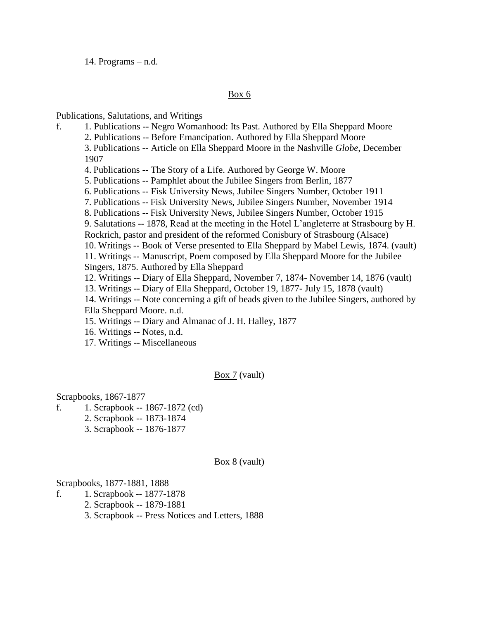14. Programs – n.d.

## Box 6

Publications, Salutations, and Writings

- f. 1. Publications -- Negro Womanhood: Its Past. Authored by Ella Sheppard Moore 2. Publications -- Before Emancipation. Authored by Ella Sheppard Moore 3. Publications -- Article on Ella Sheppard Moore in the Nashville *Globe*, December 1907 4. Publications -- The Story of a Life. Authored by George W. Moore 5. Publications -- Pamphlet about the Jubilee Singers from Berlin, 1877 6. Publications -- Fisk University News, Jubilee Singers Number, October 1911 7. Publications -- Fisk University News, Jubilee Singers Number, November 1914 8. Publications -- Fisk University News, Jubilee Singers Number, October 1915 9. Salutations -- 1878, Read at the meeting in the Hotel L'angleterre at Strasbourg by H. Rockrich, pastor and president of the reformed Conisbury of Strasbourg (Alsace) 10. Writings -- Book of Verse presented to Ella Sheppard by Mabel Lewis, 1874. (vault) 11. Writings -- Manuscript, Poem composed by Ella Sheppard Moore for the Jubilee Singers, 1875. Authored by Ella Sheppard 12. Writings -- Diary of Ella Sheppard, November 7, 1874- November 14, 1876 (vault) 13. Writings -- Diary of Ella Sheppard, October 19, 1877- July 15, 1878 (vault) 14. Writings -- Note concerning a gift of beads given to the Jubilee Singers, authored by Ella Sheppard Moore. n.d. 15. Writings -- Diary and Almanac of J. H. Halley, 1877 16. Writings -- Notes, n.d.
	- 17. Writings -- Miscellaneous

Box 7 (vault)

Scrapbooks, 1867-1877

- f. 1. Scrapbook -- 1867-1872 (cd)
	- 2. Scrapbook -- 1873-1874
	- 3. Scrapbook -- 1876-1877

Box 8 (vault)

Scrapbooks, 1877-1881, 1888

- f. 1. Scrapbook -- 1877-1878
	- 2. Scrapbook -- 1879-1881
	- 3. Scrapbook -- Press Notices and Letters, 1888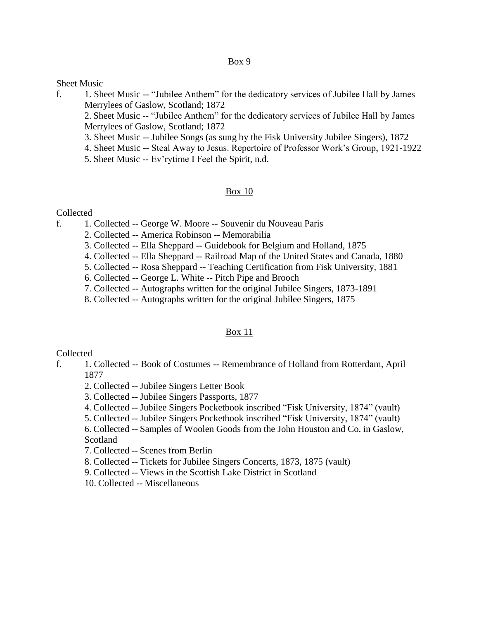## Box 9

## Sheet Music

f. 1. Sheet Music -- "Jubilee Anthem" for the dedicatory services of Jubilee Hall by James Merrylees of Gaslow, Scotland; 1872

2. Sheet Music -- "Jubilee Anthem" for the dedicatory services of Jubilee Hall by James Merrylees of Gaslow, Scotland; 1872

- 3. Sheet Music -- Jubilee Songs (as sung by the Fisk University Jubilee Singers), 1872
- 4. Sheet Music -- Steal Away to Jesus. Repertoire of Professor Work's Group, 1921-1922
- 5. Sheet Music -- Ev'rytime I Feel the Spirit, n.d.

## Box 10

## Collected

- f. 1. Collected -- George W. Moore -- Souvenir du Nouveau Paris
	- 2. Collected -- America Robinson -- Memorabilia
	- 3. Collected -- Ella Sheppard -- Guidebook for Belgium and Holland, 1875
	- 4. Collected -- Ella Sheppard -- Railroad Map of the United States and Canada, 1880
	- 5. Collected -- Rosa Sheppard -- Teaching Certification from Fisk University, 1881
	- 6. Collected -- George L. White -- Pitch Pipe and Brooch
	- 7. Collected -- Autographs written for the original Jubilee Singers, 1873-1891
	- 8. Collected -- Autographs written for the original Jubilee Singers, 1875

## Box 11

## Collected

- f. 1. Collected -- Book of Costumes -- Remembrance of Holland from Rotterdam, April 1877
	- 2. Collected -- Jubilee Singers Letter Book
	- 3. Collected -- Jubilee Singers Passports, 1877
	- 4. Collected -- Jubilee Singers Pocketbook inscribed "Fisk University, 1874" (vault)
	- 5. Collected -- Jubilee Singers Pocketbook inscribed "Fisk University, 1874" (vault)

6. Collected -- Samples of Woolen Goods from the John Houston and Co. in Gaslow, Scotland

7. Collected -- Scenes from Berlin

- 8. Collected -- Tickets for Jubilee Singers Concerts, 1873, 1875 (vault)
- 9. Collected -- Views in the Scottish Lake District in Scotland
- 10. Collected -- Miscellaneous